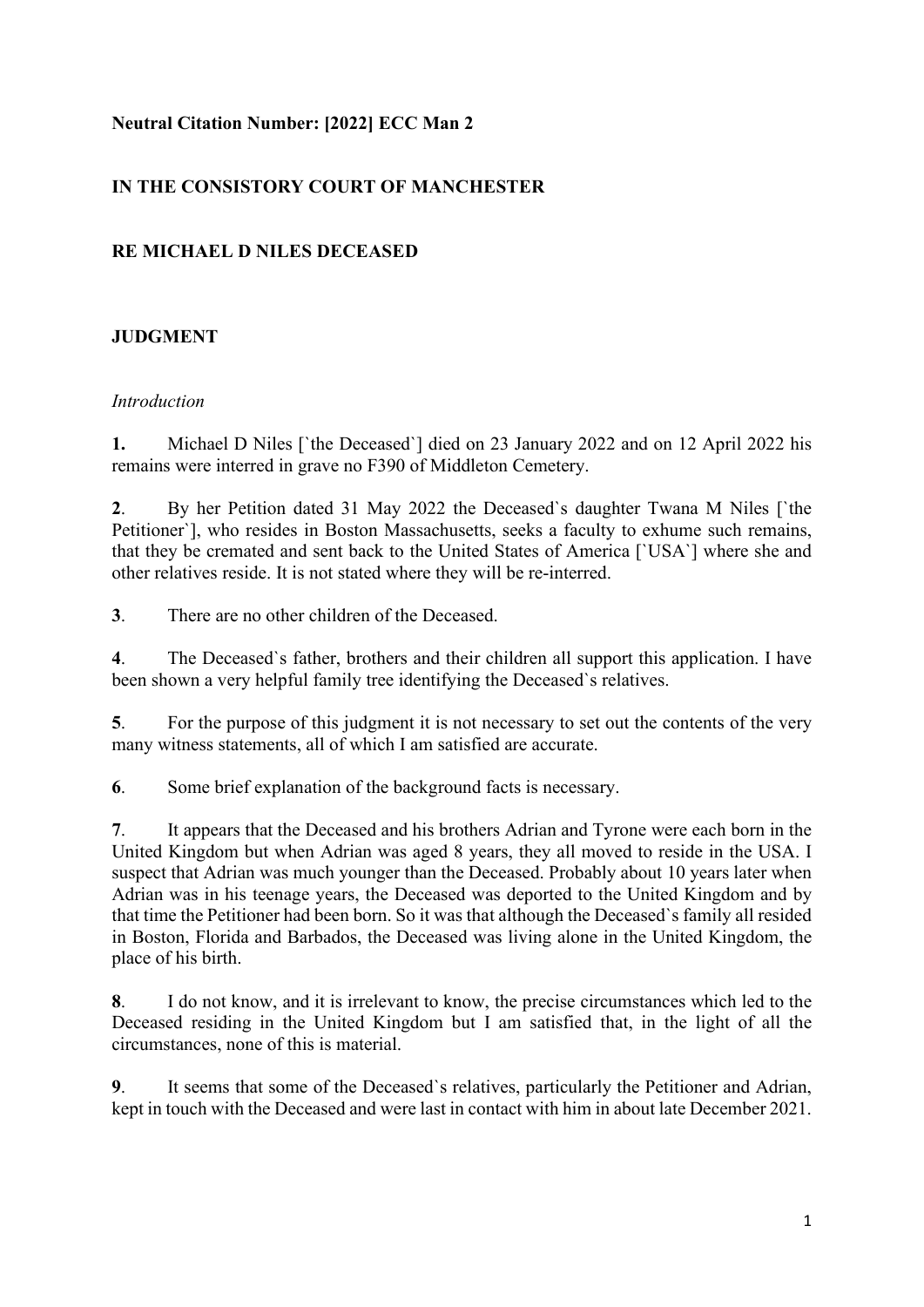#### **Neutral Citation Number: [2022] ECC Man 2**

# **IN THE CONSISTORY COURT OF MANCHESTER**

#### **RE MICHAEL D NILES DECEASED**

## **JUDGMENT**

#### *Introduction*

**1.** Michael D Niles [`the Deceased`] died on 23 January 2022 and on 12 April 2022 his remains were interred in grave no F390 of Middleton Cemetery.

**2**. By her Petition dated 31 May 2022 the Deceased`s daughter Twana M Niles [`the Petitioner`], who resides in Boston Massachusetts, seeks a faculty to exhume such remains, that they be cremated and sent back to the United States of America [`USA`] where she and other relatives reside. It is not stated where they will be re-interred.

**3**. There are no other children of the Deceased.

**4**. The Deceased`s father, brothers and their children all support this application. I have been shown a very helpful family tree identifying the Deceased`s relatives.

**5**. For the purpose of this judgment it is not necessary to set out the contents of the very many witness statements, all of which I am satisfied are accurate.

**6**. Some brief explanation of the background facts is necessary.

**7**. It appears that the Deceased and his brothers Adrian and Tyrone were each born in the United Kingdom but when Adrian was aged 8 years, they all moved to reside in the USA. I suspect that Adrian was much younger than the Deceased. Probably about 10 years later when Adrian was in his teenage years, the Deceased was deported to the United Kingdom and by that time the Petitioner had been born. So it was that although the Deceased`s family all resided in Boston, Florida and Barbados, the Deceased was living alone in the United Kingdom, the place of his birth.

**8**. I do not know, and it is irrelevant to know, the precise circumstances which led to the Deceased residing in the United Kingdom but I am satisfied that, in the light of all the circumstances, none of this is material.

**9**. It seems that some of the Deceased`s relatives, particularly the Petitioner and Adrian, kept in touch with the Deceased and were last in contact with him in about late December 2021.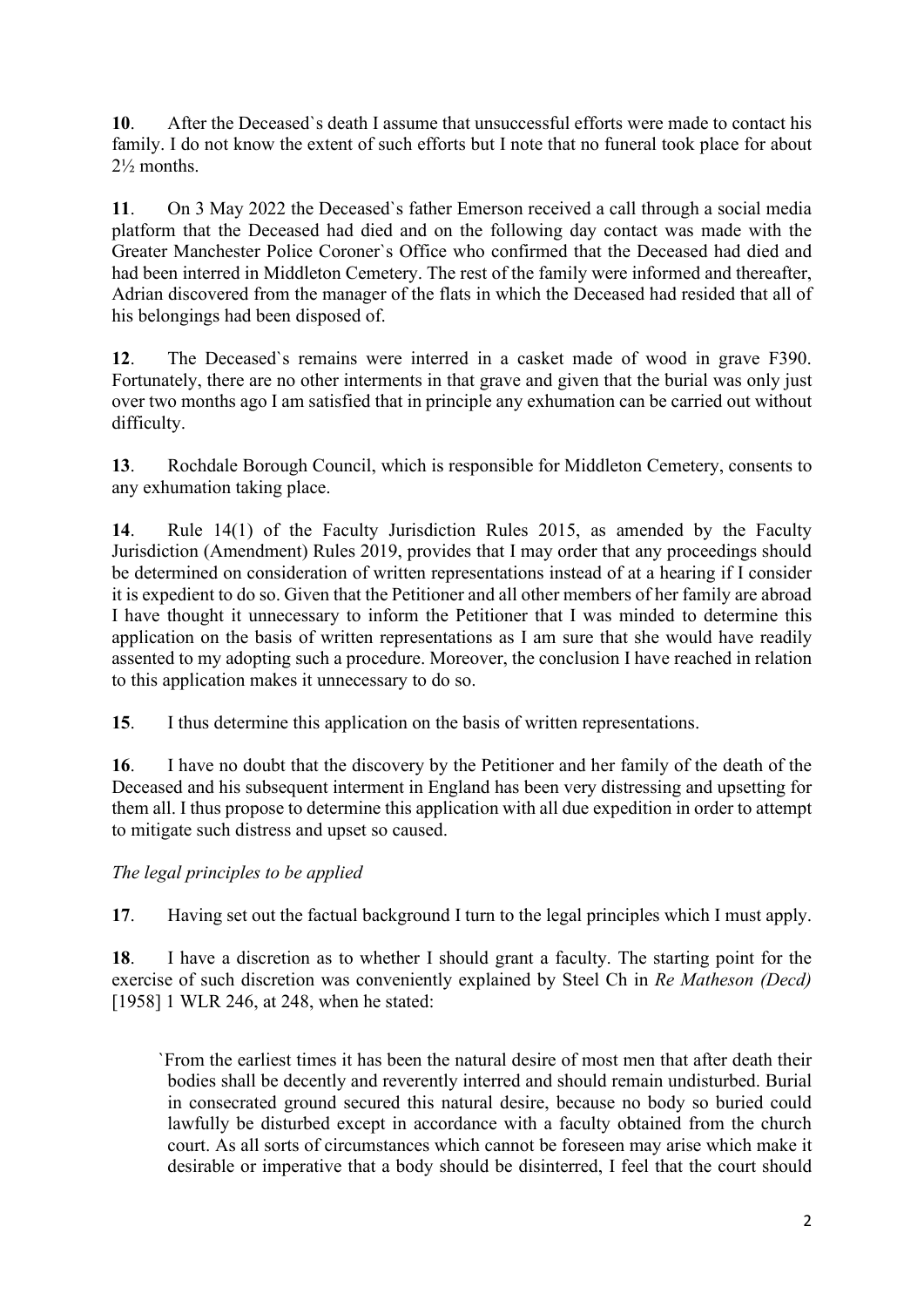**10**. After the Deceased`s death I assume that unsuccessful efforts were made to contact his family. I do not know the extent of such efforts but I note that no funeral took place for about 2½ months.

**11**. On 3 May 2022 the Deceased`s father Emerson received a call through a social media platform that the Deceased had died and on the following day contact was made with the Greater Manchester Police Coroner`s Office who confirmed that the Deceased had died and had been interred in Middleton Cemetery. The rest of the family were informed and thereafter, Adrian discovered from the manager of the flats in which the Deceased had resided that all of his belongings had been disposed of.

**12**. The Deceased`s remains were interred in a casket made of wood in grave F390. Fortunately, there are no other interments in that grave and given that the burial was only just over two months ago I am satisfied that in principle any exhumation can be carried out without difficulty.

**13**. Rochdale Borough Council, which is responsible for Middleton Cemetery, consents to any exhumation taking place.

**14**. Rule 14(1) of the Faculty Jurisdiction Rules 2015, as amended by the Faculty Jurisdiction (Amendment) Rules 2019, provides that I may order that any proceedings should be determined on consideration of written representations instead of at a hearing if I consider it is expedient to do so. Given that the Petitioner and all other members of her family are abroad I have thought it unnecessary to inform the Petitioner that I was minded to determine this application on the basis of written representations as I am sure that she would have readily assented to my adopting such a procedure. Moreover, the conclusion I have reached in relation to this application makes it unnecessary to do so.

**15**. I thus determine this application on the basis of written representations.

**16**. I have no doubt that the discovery by the Petitioner and her family of the death of the Deceased and his subsequent interment in England has been very distressing and upsetting for them all. I thus propose to determine this application with all due expedition in order to attempt to mitigate such distress and upset so caused.

*The legal principles to be applied* 

**17**. Having set out the factual background I turn to the legal principles which I must apply.

**18**. I have a discretion as to whether I should grant a faculty. The starting point for the exercise of such discretion was conveniently explained by Steel Ch in *Re Matheson (Decd)* [1958] 1 WLR 246, at 248, when he stated:

 `From the earliest times it has been the natural desire of most men that after death their bodies shall be decently and reverently interred and should remain undisturbed. Burial in consecrated ground secured this natural desire, because no body so buried could lawfully be disturbed except in accordance with a faculty obtained from the church court. As all sorts of circumstances which cannot be foreseen may arise which make it desirable or imperative that a body should be disinterred, I feel that the court should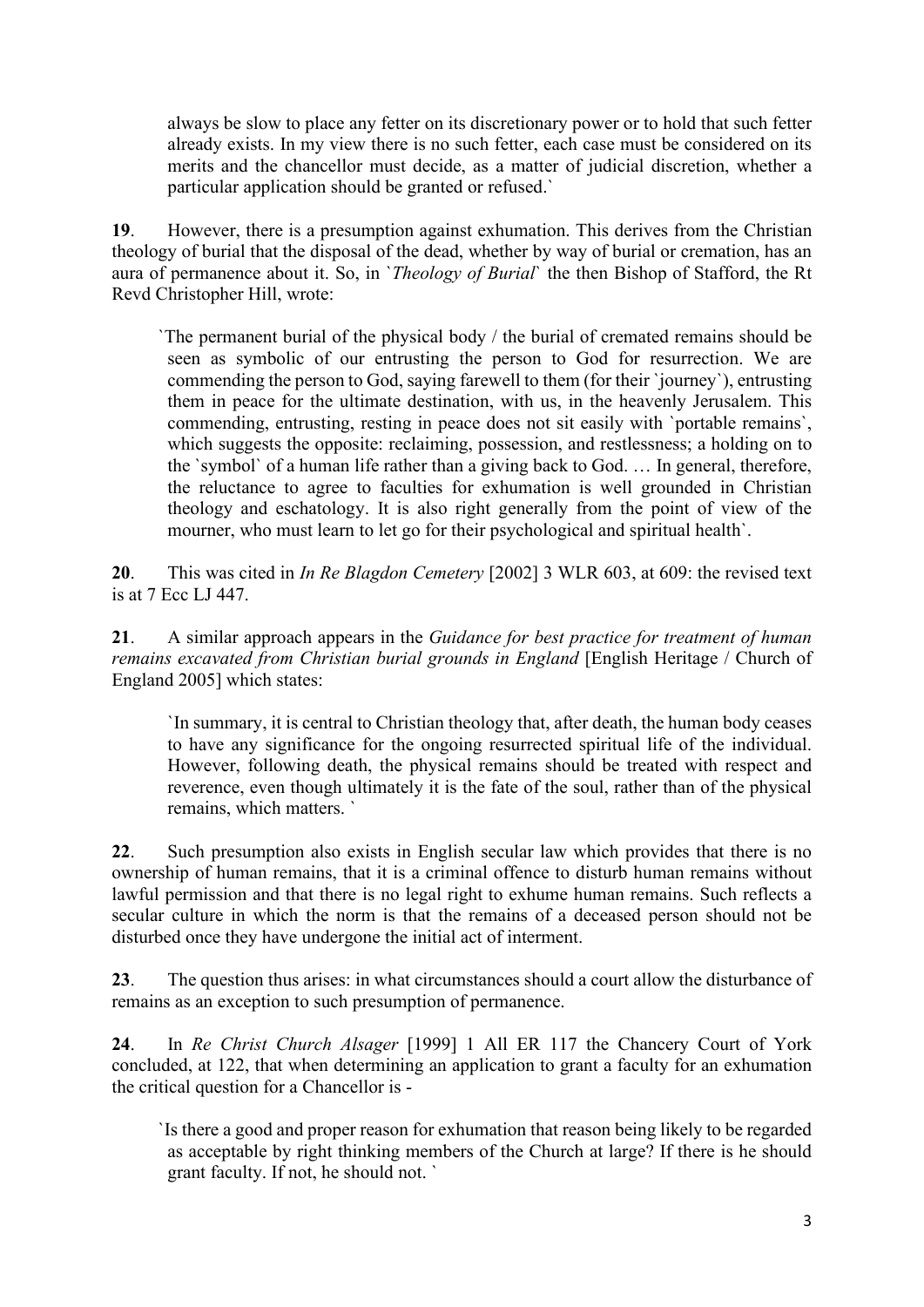always be slow to place any fetter on its discretionary power or to hold that such fetter already exists. In my view there is no such fetter, each case must be considered on its merits and the chancellor must decide, as a matter of judicial discretion, whether a particular application should be granted or refused.`

**19**. However, there is a presumption against exhumation. This derives from the Christian theology of burial that the disposal of the dead, whether by way of burial or cremation, has an aura of permanence about it. So, in `*Theology of Burial*` the then Bishop of Stafford, the Rt Revd Christopher Hill, wrote:

 `The permanent burial of the physical body / the burial of cremated remains should be seen as symbolic of our entrusting the person to God for resurrection. We are commending the person to God, saying farewell to them (for their `journey`), entrusting them in peace for the ultimate destination, with us, in the heavenly Jerusalem. This commending, entrusting, resting in peace does not sit easily with `portable remains`, which suggests the opposite: reclaiming, possession, and restlessness; a holding on to the `symbol` of a human life rather than a giving back to God. … In general, therefore, the reluctance to agree to faculties for exhumation is well grounded in Christian theology and eschatology. It is also right generally from the point of view of the mourner, who must learn to let go for their psychological and spiritual health`.

**20**. This was cited in *In Re Blagdon Cemetery* [2002] 3 WLR 603, at 609: the revised text is at 7 Ecc LJ 447.

**21**. A similar approach appears in the *Guidance for best practice for treatment of human remains excavated from Christian burial grounds in England* [English Heritage / Church of England 2005] which states:

`In summary, it is central to Christian theology that, after death, the human body ceases to have any significance for the ongoing resurrected spiritual life of the individual. However, following death, the physical remains should be treated with respect and reverence, even though ultimately it is the fate of the soul, rather than of the physical remains, which matters. `

**22**. Such presumption also exists in English secular law which provides that there is no ownership of human remains, that it is a criminal offence to disturb human remains without lawful permission and that there is no legal right to exhume human remains. Such reflects a secular culture in which the norm is that the remains of a deceased person should not be disturbed once they have undergone the initial act of interment.

**23**. The question thus arises: in what circumstances should a court allow the disturbance of remains as an exception to such presumption of permanence.

**24**. In *Re Christ Church Alsager* [1999] 1 All ER 117 the Chancery Court of York concluded, at 122, that when determining an application to grant a faculty for an exhumation the critical question for a Chancellor is -

 `Is there a good and proper reason for exhumation that reason being likely to be regarded as acceptable by right thinking members of the Church at large? If there is he should grant faculty. If not, he should not. `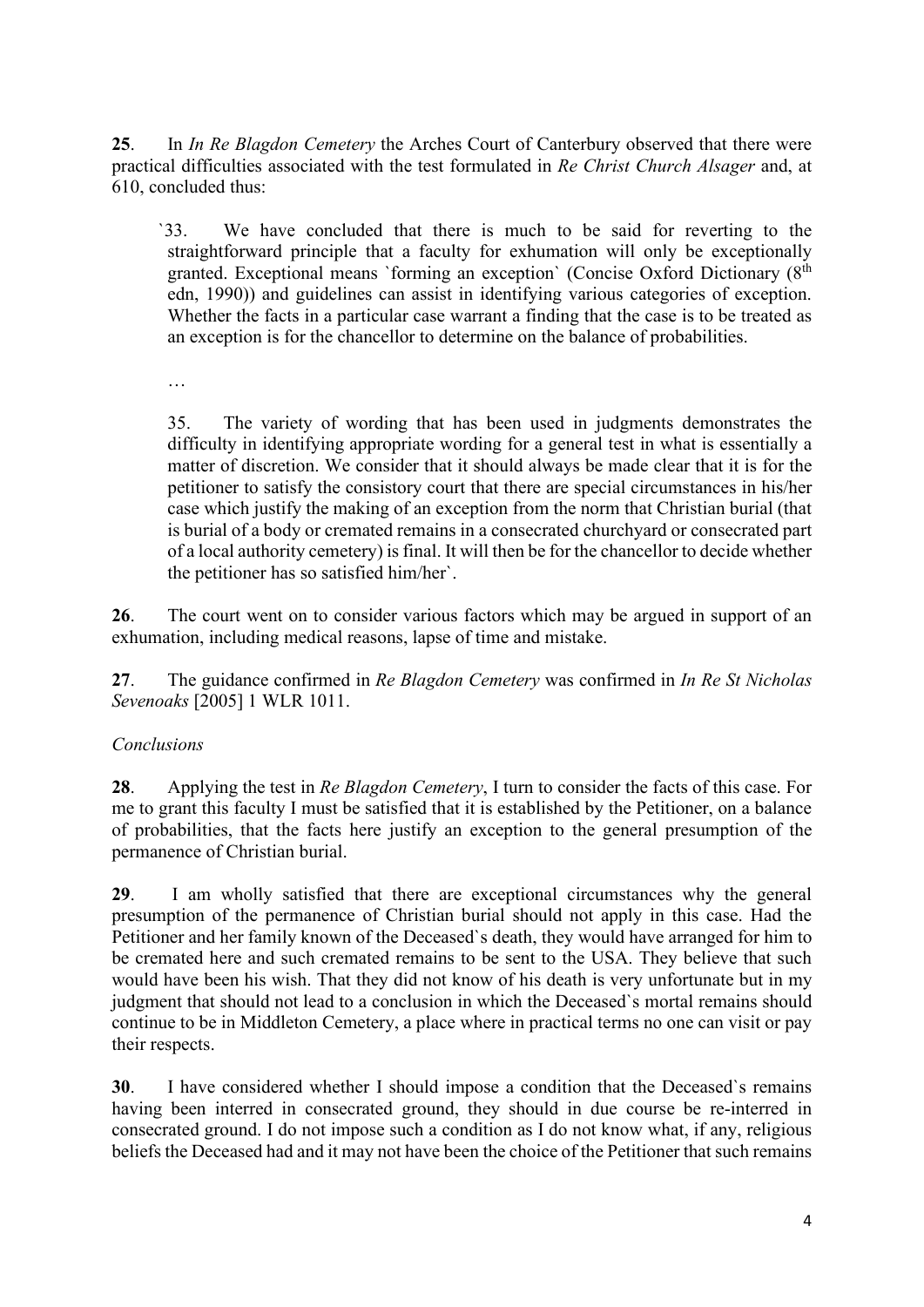**25**. In *In Re Blagdon Cemetery* the Arches Court of Canterbury observed that there were practical difficulties associated with the test formulated in *Re Christ Church Alsager* and, at 610, concluded thus:

 `33. We have concluded that there is much to be said for reverting to the straightforward principle that a faculty for exhumation will only be exceptionally granted. Exceptional means `forming an exception` (Concise Oxford Dictionary (8<sup>th</sup>) edn, 1990)) and guidelines can assist in identifying various categories of exception. Whether the facts in a particular case warrant a finding that the case is to be treated as an exception is for the chancellor to determine on the balance of probabilities.

…

 35. The variety of wording that has been used in judgments demonstrates the difficulty in identifying appropriate wording for a general test in what is essentially a matter of discretion. We consider that it should always be made clear that it is for the petitioner to satisfy the consistory court that there are special circumstances in his/her case which justify the making of an exception from the norm that Christian burial (that is burial of a body or cremated remains in a consecrated churchyard or consecrated part of a local authority cemetery) is final. It will then be for the chancellor to decide whether the petitioner has so satisfied him/her`.

**26**. The court went on to consider various factors which may be argued in support of an exhumation, including medical reasons, lapse of time and mistake.

**27**. The guidance confirmed in *Re Blagdon Cemetery* was confirmed in *In Re St Nicholas Sevenoaks* [2005] 1 WLR 1011.

## *Conclusions*

**28**. Applying the test in *Re Blagdon Cemetery*, I turn to consider the facts of this case. For me to grant this faculty I must be satisfied that it is established by the Petitioner, on a balance of probabilities, that the facts here justify an exception to the general presumption of the permanence of Christian burial.

**29**. I am wholly satisfied that there are exceptional circumstances why the general presumption of the permanence of Christian burial should not apply in this case. Had the Petitioner and her family known of the Deceased`s death, they would have arranged for him to be cremated here and such cremated remains to be sent to the USA. They believe that such would have been his wish. That they did not know of his death is very unfortunate but in my judgment that should not lead to a conclusion in which the Deceased`s mortal remains should continue to be in Middleton Cemetery, a place where in practical terms no one can visit or pay their respects.

**30**. I have considered whether I should impose a condition that the Deceased`s remains having been interred in consecrated ground, they should in due course be re-interred in consecrated ground. I do not impose such a condition as I do not know what, if any, religious beliefs the Deceased had and it may not have been the choice of the Petitioner that such remains